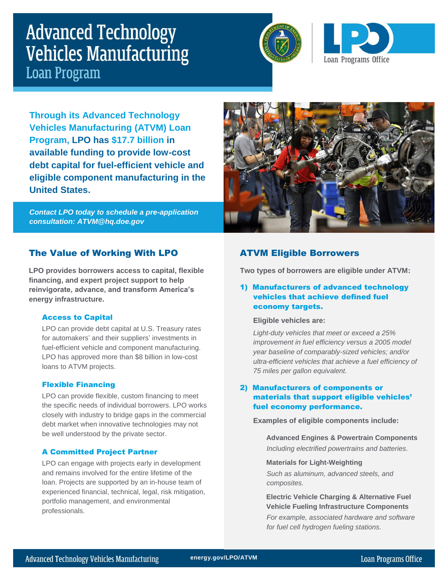# **Advanced Technology Vehicles Manufacturing Loan Program**





**Through its Advanced Technology Vehicles Manufacturing (ATVM) Loan Program, LPO has \$17.7 billion in available funding to provide low-cost debt capital for fuel-efficient vehicle and eligible component manufacturing in the United States.**

*Contact LPO today to schedule a pre-application consultation: ATVM@hq.doe.gov*



# The Value of Working With LPO

**LPO provides borrowers access to capital, flexible financing, and expert project support to help reinvigorate, advance, and transform America's energy infrastructure.**

## Access to Capital

LPO can provide debt capital at U.S. Treasury rates for automakers' and their suppliers' investments in fuel-efficient vehicle and component manufacturing. LPO has approved more than \$8 billion in low-cost loans to ATVM projects.

## Flexible Financing

LPO can provide flexible, custom financing to meet the specific needs of individual borrowers. LPO works closely with industry to bridge gaps in the commercial debt market when innovative technologies may not be well understood by the private sector.

#### A Committed Project Partner

LPO can engage with projects early in development and remains involved for the entire lifetime of the loan. Projects are supported by an in-house team of experienced financial, technical, legal, risk mitigation, portfolio management, and environmental professionals.

# ATVM Eligible Borrowers

**Two types of borrowers are eligible under ATVM:**

## 1) Manufacturers of advanced technology vehicles that achieve defined fuel economy targets.

#### **Eligible vehicles are:**

*Light-duty vehicles that meet or exceed a 25% improvement in fuel efficiency versus a 2005 model year baseline of comparably-sized vehicles; and/or ultra-efficient vehicles that achieve a fuel efficiency of 75 miles per gallon equivalent.*

# 2) Manufacturers of components or materials that support eligible vehicles' fuel economy performance.

#### **Examples of eligible components include:**

**Advanced Engines & Powertrain Components** *Including electrified powertrains and batteries.*

#### **Materials for Light-Weighting**

*Such as aluminum, advanced steels, and composites.*

**Electric Vehicle Charging & Alternative Fuel Vehicle Fueling Infrastructure Components**

*For example, associated hardware and software for fuel cell hydrogen fueling stations.*